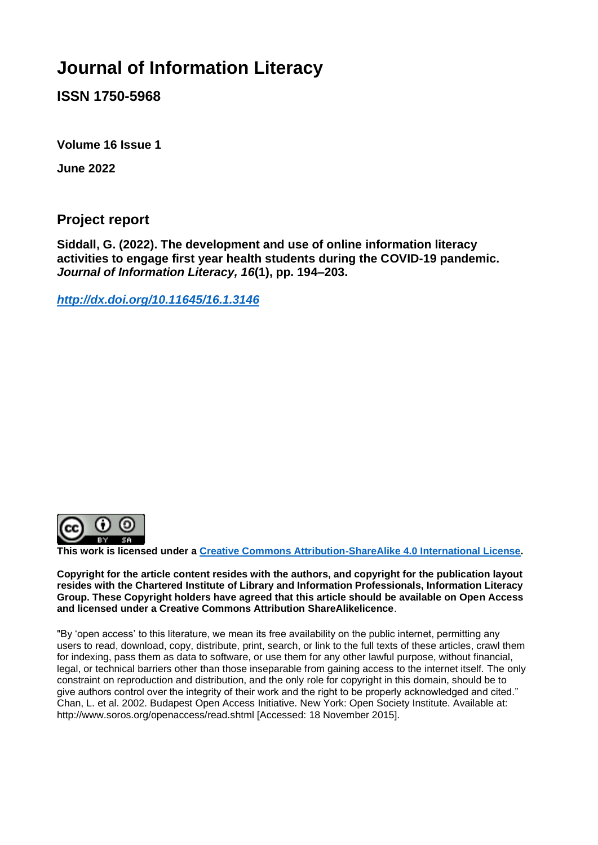# **Journal of Information Literacy**

**ISSN 1750-5968** 

**Volume 16 Issue 1**

**June 2022**

**Project report** 

**Siddall, G. (2022). The development and use of online information literacy activities to engage first year health students during the COVID-19 pandemic.**  *Journal of Information Literacy, 16***(1), pp. 194–203.**

*<http://dx.doi.org/10.11645/16.1.3146>*



**This work is licensed under a [Creative Commons Attribution-ShareAlike 4.0 International License.](http://creativecommons.org/licenses/by-sa/4.0/)**

**Copyright for the article content resides with the authors, and copyright for the publication layout resides with the Chartered Institute of Library and Information Professionals, Information Literacy Group. These Copyright holders have agreed that this article should be available on Open Access and licensed under a Creative Commons Attribution ShareAlikelicence**.

"By 'open access' to this literature, we mean its free availability on the public internet, permitting any users to read, download, copy, distribute, print, search, or link to the full texts of these articles, crawl them for indexing, pass them as data to software, or use them for any other lawful purpose, without financial, legal, or technical barriers other than those inseparable from gaining access to the internet itself. The only constraint on reproduction and distribution, and the only role for copyright in this domain, should be to give authors control over the integrity of their work and the right to be properly acknowledged and cited." Chan, L. et al. 2002. Budapest Open Access Initiative. New York: Open Society Institute. Available at: http://www.soros.org/openaccess/read.shtml [Accessed: 18 November 2015].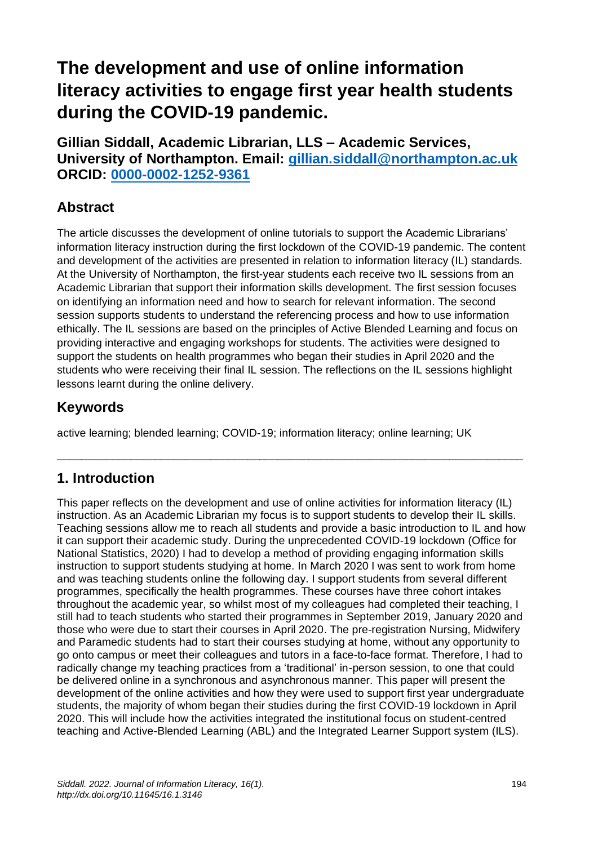# **The development and use of online information literacy activities to engage first year health students during the COVID-19 pandemic.**

**Gillian Siddall, Academic Librarian, LLS – Academic Services, University of Northampton. Email: gillian.siddall[@northampton.](mailto:gillian.siddall@northampton.ac.uk)ac.uk ORCID: [0000-0002-1252-9361](https://orcid.org/0000-0002-1252-9361)**

## **Abstract**

The article discusses the development of online tutorials to support the Academic Librarians' information literacy instruction during the first lockdown of the COVID-19 pandemic. The content and development of the activities are presented in relation to information literacy (IL) standards. At the University of Northampton, the first-year students each receive two IL sessions from an Academic Librarian that support their information skills development. The first session focuses on identifying an information need and how to search for relevant information. The second session supports students to understand the referencing process and how to use information ethically. The IL sessions are based on the principles of Active Blended Learning and focus on providing interactive and engaging workshops for students. The activities were designed to support the students on health programmes who began their studies in April 2020 and the students who were receiving their final IL session. The reflections on the IL sessions highlight lessons learnt during the online delivery.

## **Keywords**

active learning; blended learning; COVID-19; information literacy; online learning; UK

\_\_\_\_\_\_\_\_\_\_\_\_\_\_\_\_\_\_\_\_\_\_\_\_\_\_\_\_\_\_\_\_\_\_\_\_\_\_\_\_\_\_\_\_\_\_\_\_\_\_\_\_\_\_\_\_\_\_\_\_\_\_\_\_\_\_\_\_\_\_\_\_\_\_\_\_

### **1. Introduction**

This paper reflects on the development and use of online activities for information literacy (IL) instruction. As an Academic Librarian my focus is to support students to develop their IL skills. Teaching sessions allow me to reach all students and provide a basic introduction to IL and how it can support their academic study. During the unprecedented COVID-19 lockdown (Office for National Statistics, 2020) I had to develop a method of providing engaging information skills instruction to support students studying at home. In March 2020 I was sent to work from home and was teaching students online the following day. I support students from several different programmes, specifically the health programmes. These courses have three cohort intakes throughout the academic year, so whilst most of my colleagues had completed their teaching, I still had to teach students who started their programmes in September 2019, January 2020 and those who were due to start their courses in April 2020. The pre-registration Nursing, Midwifery and Paramedic students had to start their courses studying at home, without any opportunity to go onto campus or meet their colleagues and tutors in a face-to-face format. Therefore, I had to radically change my teaching practices from a 'traditional' in-person session, to one that could be delivered online in a synchronous and asynchronous manner. This paper will present the development of the online activities and how they were used to support first year undergraduate students, the majority of whom began their studies during the first COVID-19 lockdown in April 2020. This will include how the activities integrated the institutional focus on student-centred teaching and Active-Blended Learning (ABL) and the Integrated Learner Support system (ILS).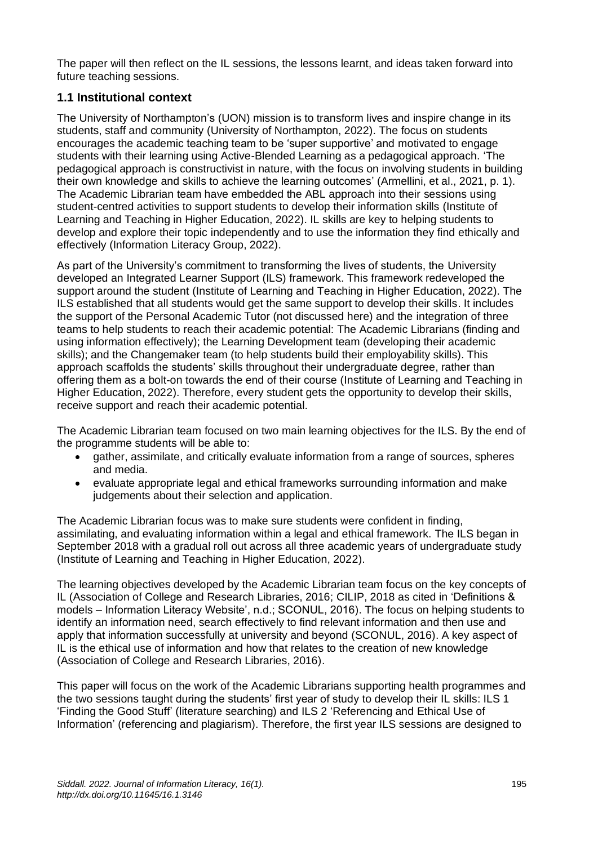The paper will then reflect on the IL sessions, the lessons learnt, and ideas taken forward into future teaching sessions.

#### **1.1 Institutional context**

The University of Northampton's (UON) mission is to transform lives and inspire change in its students, staff and community (University of Northampton, 2022). The focus on students encourages the academic teaching team to be 'super supportive' and motivated to engage students with their learning using Active-Blended Learning as a pedagogical approach. 'The pedagogical approach is constructivist in nature, with the focus on involving students in building their own knowledge and skills to achieve the learning outcomes' (Armellini, et al., 2021, p. 1). The Academic Librarian team have embedded the ABL approach into their sessions using student-centred activities to support students to develop their information skills (Institute of Learning and Teaching in Higher Education, 2022). IL skills are key to helping students to develop and explore their topic independently and to use the information they find ethically and effectively (Information Literacy Group, 2022).

As part of the University's commitment to transforming the lives of students, the University developed an Integrated Learner Support (ILS) framework. This framework redeveloped the support around the student (Institute of Learning and Teaching in Higher Education, 2022). The ILS established that all students would get the same support to develop their skills. It includes the support of the Personal Academic Tutor (not discussed here) and the integration of three teams to help students to reach their academic potential: The Academic Librarians (finding and using information effectively); the Learning Development team (developing their academic skills); and the Changemaker team (to help students build their employability skills). This approach scaffolds the students' skills throughout their undergraduate degree, rather than offering them as a bolt-on towards the end of their course (Institute of Learning and Teaching in Higher Education, 2022). Therefore, every student gets the opportunity to develop their skills, receive support and reach their academic potential.

The Academic Librarian team focused on two main learning objectives for the ILS. By the end of the programme students will be able to:

- gather, assimilate, and critically evaluate information from a range of sources, spheres and media.
- evaluate appropriate legal and ethical frameworks surrounding information and make judgements about their selection and application.

The Academic Librarian focus was to make sure students were confident in finding, assimilating, and evaluating information within a legal and ethical framework. The ILS began in September 2018 with a gradual roll out across all three academic years of undergraduate study (Institute of Learning and Teaching in Higher Education, 2022).

The learning objectives developed by the Academic Librarian team focus on the key concepts of IL (Association of College and Research Libraries, 2016; CILIP, 2018 as cited in 'Definitions & models – Information Literacy Website', n.d.; SCONUL, 2016). The focus on helping students to identify an information need, search effectively to find relevant information and then use and apply that information successfully at university and beyond (SCONUL, 2016). A key aspect of IL is the ethical use of information and how that relates to the creation of new knowledge (Association of College and Research Libraries, 2016).

This paper will focus on the work of the Academic Librarians supporting health programmes and the two sessions taught during the students' first year of study to develop their IL skills: ILS 1 'Finding the Good Stuff' (literature searching) and ILS 2 'Referencing and Ethical Use of Information' (referencing and plagiarism). Therefore, the first year ILS sessions are designed to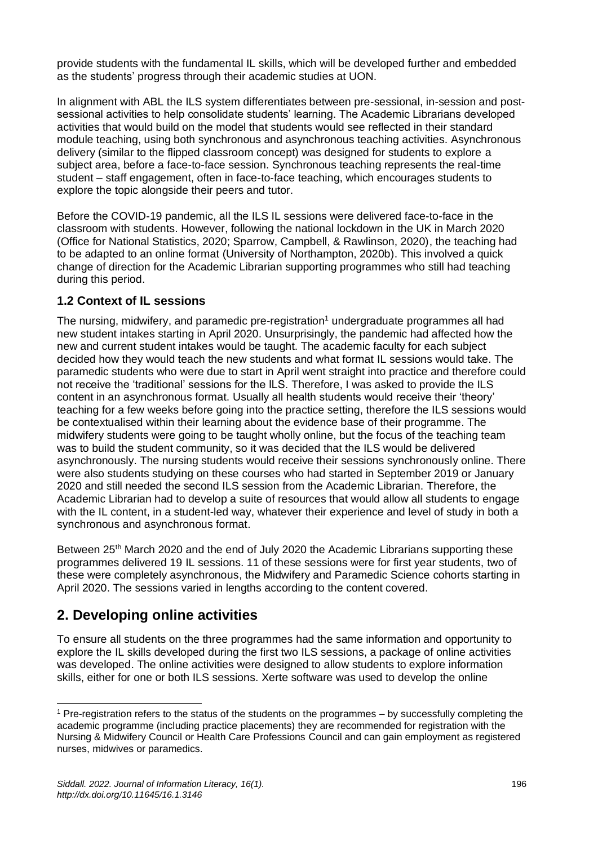provide students with the fundamental IL skills, which will be developed further and embedded as the students' progress through their academic studies at UON.

In alignment with ABL the ILS system differentiates between pre-sessional, in-session and postsessional activities to help consolidate students' learning. The Academic Librarians developed activities that would build on the model that students would see reflected in their standard module teaching, using both synchronous and asynchronous teaching activities. Asynchronous delivery (similar to the flipped classroom concept) was designed for students to explore a subject area, before a face-to-face session. Synchronous teaching represents the real-time student – staff engagement, often in face-to-face teaching, which encourages students to explore the topic alongside their peers and tutor.

Before the COVID-19 pandemic, all the ILS IL sessions were delivered face-to-face in the classroom with students. However, following the national lockdown in the UK in March 2020 (Office for National Statistics, 2020; Sparrow, Campbell, & Rawlinson, 2020), the teaching had to be adapted to an online format (University of Northampton, 2020b). This involved a quick change of direction for the Academic Librarian supporting programmes who still had teaching during this period.

#### **1.2 Context of IL sessions**

The nursing, midwifery, and paramedic pre-registration<sup>1</sup> undergraduate programmes all had new student intakes starting in April 2020. Unsurprisingly, the pandemic had affected how the new and current student intakes would be taught. The academic faculty for each subject decided how they would teach the new students and what format IL sessions would take. The paramedic students who were due to start in April went straight into practice and therefore could not receive the 'traditional' sessions for the ILS. Therefore, I was asked to provide the ILS content in an asynchronous format. Usually all health students would receive their 'theory' teaching for a few weeks before going into the practice setting, therefore the ILS sessions would be contextualised within their learning about the evidence base of their programme. The midwifery students were going to be taught wholly online, but the focus of the teaching team was to build the student community, so it was decided that the ILS would be delivered asynchronously. The nursing students would receive their sessions synchronously online. There were also students studying on these courses who had started in September 2019 or January 2020 and still needed the second ILS session from the Academic Librarian. Therefore, the Academic Librarian had to develop a suite of resources that would allow all students to engage with the IL content, in a student-led way, whatever their experience and level of study in both a synchronous and asynchronous format.

Between 25<sup>th</sup> March 2020 and the end of July 2020 the Academic Librarians supporting these programmes delivered 19 IL sessions. 11 of these sessions were for first year students, two of these were completely asynchronous, the Midwifery and Paramedic Science cohorts starting in April 2020. The sessions varied in lengths according to the content covered.

### **2. Developing online activities**

To ensure all students on the three programmes had the same information and opportunity to explore the IL skills developed during the first two ILS sessions, a package of online activities was developed. The online activities were designed to allow students to explore information skills, either for one or both ILS sessions. Xerte software was used to develop the online

<sup>1</sup> Pre-registration refers to the status of the students on the programmes – by successfully completing the academic programme (including practice placements) they are recommended for registration with the Nursing & Midwifery Council or Health Care Professions Council and can gain employment as registered nurses, midwives or paramedics.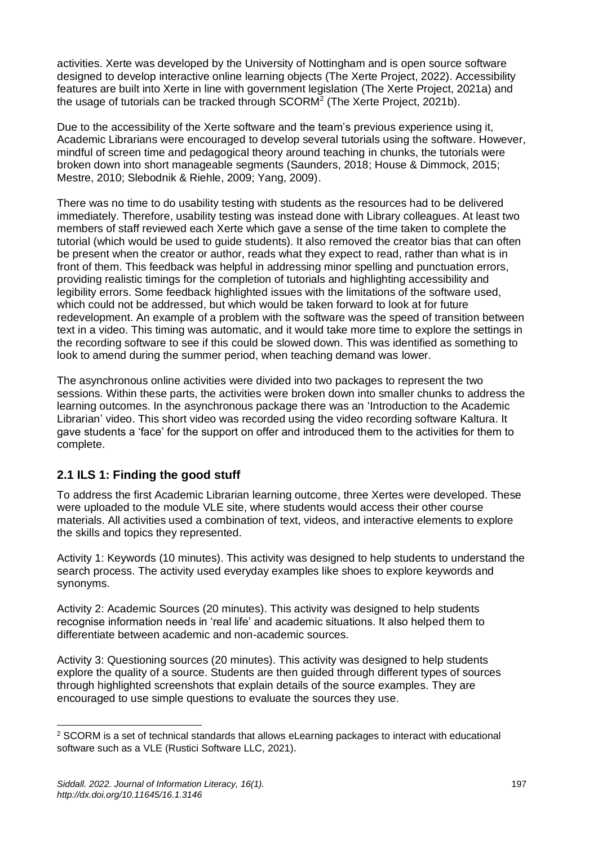activities. Xerte was developed by the University of Nottingham and is open source software designed to develop interactive online learning objects (The Xerte Project, 2022). Accessibility features are built into Xerte in line with government legislation (The Xerte Project, 2021a) and the usage of tutorials can be tracked through SCORM<sup>2</sup> (The Xerte Project, 2021b).

Due to the accessibility of the Xerte software and the team's previous experience using it, Academic Librarians were encouraged to develop several tutorials using the software. However, mindful of screen time and pedagogical theory around teaching in chunks, the tutorials were broken down into short manageable segments (Saunders, 2018; House & Dimmock, 2015; Mestre, 2010; Slebodnik & Riehle, 2009; Yang, 2009).

There was no time to do usability testing with students as the resources had to be delivered immediately. Therefore, usability testing was instead done with Library colleagues. At least two members of staff reviewed each Xerte which gave a sense of the time taken to complete the tutorial (which would be used to guide students). It also removed the creator bias that can often be present when the creator or author, reads what they expect to read, rather than what is in front of them. This feedback was helpful in addressing minor spelling and punctuation errors, providing realistic timings for the completion of tutorials and highlighting accessibility and legibility errors. Some feedback highlighted issues with the limitations of the software used, which could not be addressed, but which would be taken forward to look at for future redevelopment. An example of a problem with the software was the speed of transition between text in a video. This timing was automatic, and it would take more time to explore the settings in the recording software to see if this could be slowed down. This was identified as something to look to amend during the summer period, when teaching demand was lower.

The asynchronous online activities were divided into two packages to represent the two sessions. Within these parts, the activities were broken down into smaller chunks to address the learning outcomes. In the asynchronous package there was an 'Introduction to the Academic Librarian' video. This short video was recorded using the video recording software Kaltura. It gave students a 'face' for the support on offer and introduced them to the activities for them to complete.

#### **2.1 ILS 1: Finding the good stuff**

To address the first Academic Librarian learning outcome, three Xertes were developed. These were uploaded to the module VLE site, where students would access their other course materials. All activities used a combination of text, videos, and interactive elements to explore the skills and topics they represented.

Activity 1: Keywords (10 minutes). This activity was designed to help students to understand the search process. The activity used everyday examples like shoes to explore keywords and synonyms.

Activity 2: Academic Sources (20 minutes). This activity was designed to help students recognise information needs in 'real life' and academic situations. It also helped them to differentiate between academic and non-academic sources.

Activity 3: Questioning sources (20 minutes). This activity was designed to help students explore the quality of a source. Students are then guided through different types of sources through highlighted screenshots that explain details of the source examples. They are encouraged to use simple questions to evaluate the sources they use.

<sup>&</sup>lt;sup>2</sup> SCORM is a set of technical standards that allows eLearning packages to interact with educational software such as a VLE (Rustici Software LLC, 2021).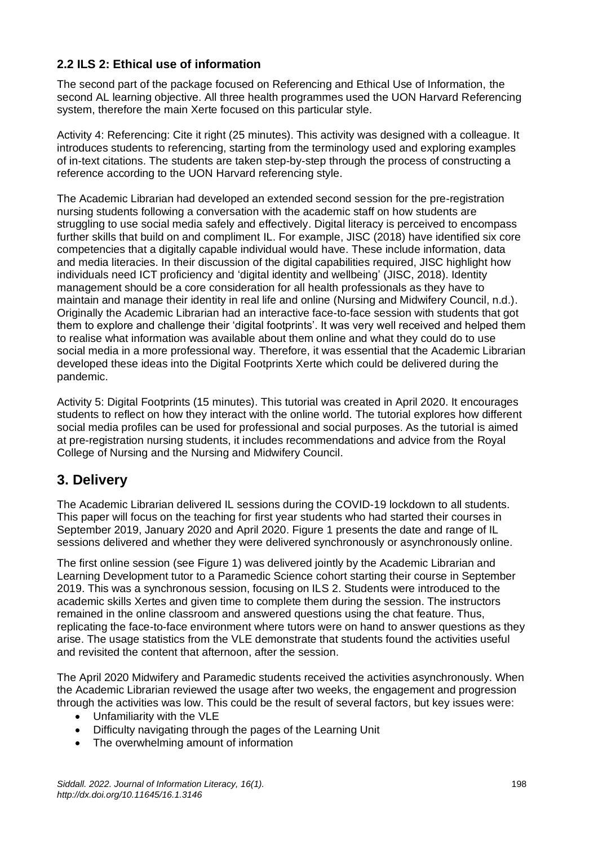#### **2.2 ILS 2: Ethical use of information**

The second part of the package focused on Referencing and Ethical Use of Information, the second AL learning objective. All three health programmes used the UON Harvard Referencing system, therefore the main Xerte focused on this particular style.

Activity 4: Referencing: Cite it right (25 minutes). This activity was designed with a colleague. It introduces students to referencing, starting from the terminology used and exploring examples of in-text citations. The students are taken step-by-step through the process of constructing a reference according to the UON Harvard referencing style.

The Academic Librarian had developed an extended second session for the pre-registration nursing students following a conversation with the academic staff on how students are struggling to use social media safely and effectively. Digital literacy is perceived to encompass further skills that build on and compliment IL. For example, JISC (2018) have identified six core competencies that a digitally capable individual would have. These include information, data and media literacies. In their discussion of the digital capabilities required, JISC highlight how individuals need ICT proficiency and 'digital identity and wellbeing' (JISC, 2018). Identity management should be a core consideration for all health professionals as they have to maintain and manage their identity in real life and online (Nursing and Midwifery Council, n.d.). Originally the Academic Librarian had an interactive face-to-face session with students that got them to explore and challenge their 'digital footprints'. It was very well received and helped them to realise what information was available about them online and what they could do to use social media in a more professional way. Therefore, it was essential that the Academic Librarian developed these ideas into the Digital Footprints Xerte which could be delivered during the pandemic.

Activity 5: Digital Footprints (15 minutes). This tutorial was created in April 2020. It encourages students to reflect on how they interact with the online world. The tutorial explores how different social media profiles can be used for professional and social purposes. As the tutorial is aimed at pre-registration nursing students, it includes recommendations and advice from the Royal College of Nursing and the Nursing and Midwifery Council.

## **3. Delivery**

The Academic Librarian delivered IL sessions during the COVID-19 lockdown to all students. This paper will focus on the teaching for first year students who had started their courses in September 2019, January 2020 and April 2020. Figure 1 presents the date and range of IL sessions delivered and whether they were delivered synchronously or asynchronously online.

The first online session (see Figure 1) was delivered jointly by the Academic Librarian and Learning Development tutor to a Paramedic Science cohort starting their course in September 2019. This was a synchronous session, focusing on ILS 2. Students were introduced to the academic skills Xertes and given time to complete them during the session. The instructors remained in the online classroom and answered questions using the chat feature. Thus, replicating the face-to-face environment where tutors were on hand to answer questions as they arise. The usage statistics from the VLE demonstrate that students found the activities useful and revisited the content that afternoon, after the session.

The April 2020 Midwifery and Paramedic students received the activities asynchronously. When the Academic Librarian reviewed the usage after two weeks, the engagement and progression through the activities was low. This could be the result of several factors, but key issues were:

- Unfamiliarity with the VLE
- Difficulty navigating through the pages of the Learning Unit
- The overwhelming amount of information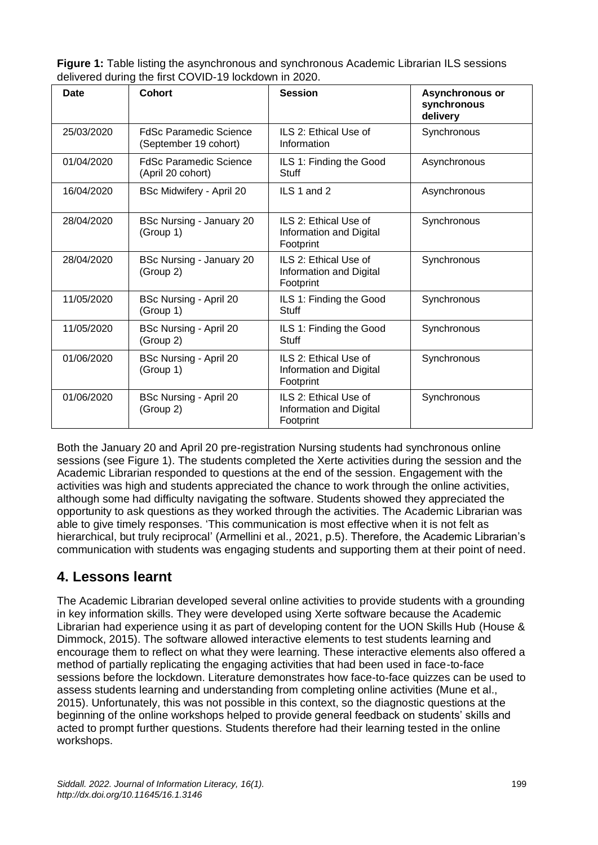| <b>Figure 1:</b> Table listing the asynchronous and synchronous Academic Librarian ILS sessions |
|-------------------------------------------------------------------------------------------------|
| delivered during the first COVID-19 lockdown in 2020.                                           |

| <b>Date</b> | <b>Cohort</b>                                          | <b>Session</b>                                                | Asynchronous or<br>synchronous<br>delivery |
|-------------|--------------------------------------------------------|---------------------------------------------------------------|--------------------------------------------|
| 25/03/2020  | <b>FdSc Paramedic Science</b><br>(September 19 cohort) | ILS 2: Ethical Use of<br>Information                          | Synchronous                                |
| 01/04/2020  | <b>FdSc Paramedic Science</b><br>(April 20 cohort)     | ILS 1: Finding the Good<br><b>Stuff</b>                       | Asynchronous                               |
| 16/04/2020  | <b>BSc Midwifery - April 20</b>                        | ILS 1 and 2                                                   | Asynchronous                               |
| 28/04/2020  | BSc Nursing - January 20<br>(Group 1)                  | ILS 2: Ethical Use of<br>Information and Digital<br>Footprint | Synchronous                                |
| 28/04/2020  | BSc Nursing - January 20<br>(Group 2)                  | ILS 2: Ethical Use of<br>Information and Digital<br>Footprint | Synchronous                                |
| 11/05/2020  | <b>BSc Nursing - April 20</b><br>(Group 1)             | ILS 1: Finding the Good<br><b>Stuff</b>                       | Synchronous                                |
| 11/05/2020  | <b>BSc Nursing - April 20</b><br>(Group 2)             | ILS 1: Finding the Good<br><b>Stuff</b>                       | Synchronous                                |
| 01/06/2020  | BSc Nursing - April 20<br>(Group 1)                    | ILS 2: Ethical Use of<br>Information and Digital<br>Footprint | Synchronous                                |
| 01/06/2020  | BSc Nursing - April 20<br>(Group 2)                    | ILS 2: Ethical Use of<br>Information and Digital<br>Footprint | Synchronous                                |

Both the January 20 and April 20 pre-registration Nursing students had synchronous online sessions (see Figure 1). The students completed the Xerte activities during the session and the Academic Librarian responded to questions at the end of the session. Engagement with the activities was high and students appreciated the chance to work through the online activities, although some had difficulty navigating the software. Students showed they appreciated the opportunity to ask questions as they worked through the activities. The Academic Librarian was able to give timely responses. 'This communication is most effective when it is not felt as hierarchical, but truly reciprocal' (Armellini et al., 2021, p.5). Therefore, the Academic Librarian's communication with students was engaging students and supporting them at their point of need.

## **4. Lessons learnt**

The Academic Librarian developed several online activities to provide students with a grounding in key information skills. They were developed using Xerte software because the Academic Librarian had experience using it as part of developing content for the UON Skills Hub (House & Dimmock, 2015). The software allowed interactive elements to test students learning and encourage them to reflect on what they were learning. These interactive elements also offered a method of partially replicating the engaging activities that had been used in face-to-face sessions before the lockdown. Literature demonstrates how face-to-face quizzes can be used to assess students learning and understanding from completing online activities (Mune et al., 2015). Unfortunately, this was not possible in this context, so the diagnostic questions at the beginning of the online workshops helped to provide general feedback on students' skills and acted to prompt further questions. Students therefore had their learning tested in the online workshops.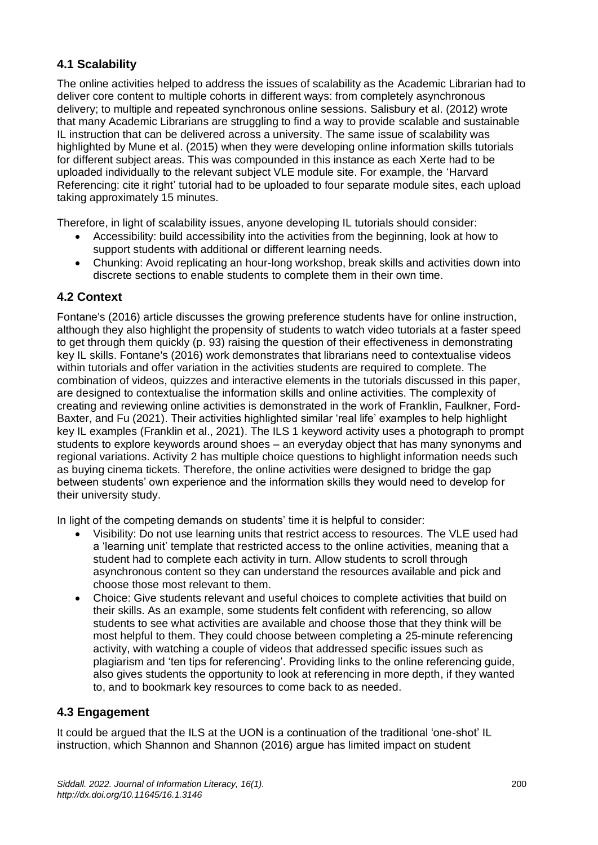#### **4.1 Scalability**

The online activities helped to address the issues of scalability as the Academic Librarian had to deliver core content to multiple cohorts in different ways: from completely asynchronous delivery; to multiple and repeated synchronous online sessions. Salisbury et al. (2012) wrote that many Academic Librarians are struggling to find a way to provide scalable and sustainable IL instruction that can be delivered across a university. The same issue of scalability was highlighted by Mune et al. (2015) when they were developing online information skills tutorials for different subject areas. This was compounded in this instance as each Xerte had to be uploaded individually to the relevant subject VLE module site. For example, the 'Harvard Referencing: cite it right' tutorial had to be uploaded to four separate module sites, each upload taking approximately 15 minutes.

Therefore, in light of scalability issues, anyone developing IL tutorials should consider:

- Accessibility: build accessibility into the activities from the beginning, look at how to support students with additional or different learning needs.
- Chunking: Avoid replicating an hour-long workshop, break skills and activities down into discrete sections to enable students to complete them in their own time.

#### **4.2 Context**

Fontane's (2016) article discusses the growing preference students have for online instruction, although they also highlight the propensity of students to watch video tutorials at a faster speed to get through them quickly (p. 93) raising the question of their effectiveness in demonstrating key IL skills. Fontane's (2016) work demonstrates that librarians need to contextualise videos within tutorials and offer variation in the activities students are required to complete. The combination of videos, quizzes and interactive elements in the tutorials discussed in this paper, are designed to contextualise the information skills and online activities. The complexity of creating and reviewing online activities is demonstrated in the work of Franklin, Faulkner, Ford-Baxter, and Fu (2021). Their activities highlighted similar 'real life' examples to help highlight key IL examples (Franklin et al., 2021). The ILS 1 keyword activity uses a photograph to prompt students to explore keywords around shoes – an everyday object that has many synonyms and regional variations. Activity 2 has multiple choice questions to highlight information needs such as buying cinema tickets. Therefore, the online activities were designed to bridge the gap between students' own experience and the information skills they would need to develop for their university study.

In light of the competing demands on students' time it is helpful to consider:

- Visibility: Do not use learning units that restrict access to resources. The VLE used had a 'learning unit' template that restricted access to the online activities, meaning that a student had to complete each activity in turn. Allow students to scroll through asynchronous content so they can understand the resources available and pick and choose those most relevant to them.
- Choice: Give students relevant and useful choices to complete activities that build on their skills. As an example, some students felt confident with referencing, so allow students to see what activities are available and choose those that they think will be most helpful to them. They could choose between completing a 25-minute referencing activity, with watching a couple of videos that addressed specific issues such as plagiarism and 'ten tips for referencing'. Providing links to the online referencing guide, also gives students the opportunity to look at referencing in more depth, if they wanted to, and to bookmark key resources to come back to as needed.

#### **4.3 Engagement**

It could be argued that the ILS at the UON is a continuation of the traditional 'one-shot' IL instruction, which Shannon and Shannon (2016) argue has limited impact on student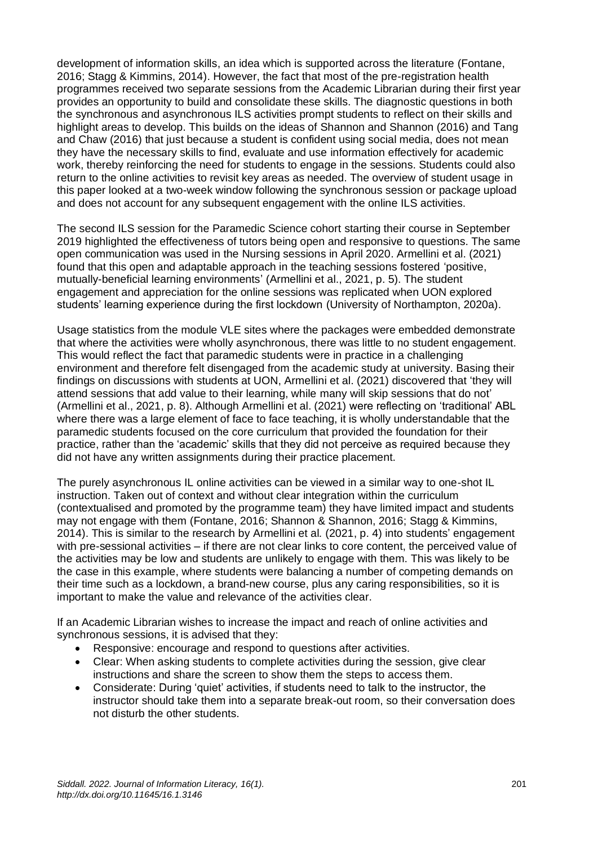development of information skills, an idea which is supported across the literature (Fontane, 2016; Stagg & Kimmins, 2014). However, the fact that most of the pre-registration health programmes received two separate sessions from the Academic Librarian during their first year provides an opportunity to build and consolidate these skills. The diagnostic questions in both the synchronous and asynchronous ILS activities prompt students to reflect on their skills and highlight areas to develop. This builds on the ideas of Shannon and Shannon (2016) and Tang and Chaw (2016) that just because a student is confident using social media, does not mean they have the necessary skills to find, evaluate and use information effectively for academic work, thereby reinforcing the need for students to engage in the sessions. Students could also return to the online activities to revisit key areas as needed. The overview of student usage in this paper looked at a two-week window following the synchronous session or package upload and does not account for any subsequent engagement with the online ILS activities.

The second ILS session for the Paramedic Science cohort starting their course in September 2019 highlighted the effectiveness of tutors being open and responsive to questions. The same open communication was used in the Nursing sessions in April 2020. Armellini et al. (2021) found that this open and adaptable approach in the teaching sessions fostered 'positive, mutually-beneficial learning environments' (Armellini et al., 2021, p. 5). The student engagement and appreciation for the online sessions was replicated when UON explored students' learning experience during the first lockdown (University of Northampton, 2020a).

Usage statistics from the module VLE sites where the packages were embedded demonstrate that where the activities were wholly asynchronous, there was little to no student engagement. This would reflect the fact that paramedic students were in practice in a challenging environment and therefore felt disengaged from the academic study at university. Basing their findings on discussions with students at UON, Armellini et al. (2021) discovered that 'they will attend sessions that add value to their learning, while many will skip sessions that do not' (Armellini et al., 2021, p. 8). Although Armellini et al. (2021) were reflecting on 'traditional' ABL where there was a large element of face to face teaching, it is wholly understandable that the paramedic students focused on the core curriculum that provided the foundation for their practice, rather than the 'academic' skills that they did not perceive as required because they did not have any written assignments during their practice placement.

The purely asynchronous IL online activities can be viewed in a similar way to one-shot IL instruction. Taken out of context and without clear integration within the curriculum (contextualised and promoted by the programme team) they have limited impact and students may not engage with them (Fontane, 2016; Shannon & Shannon, 2016; Stagg & Kimmins, 2014). This is similar to the research by Armellini et al*.* (2021, p. 4) into students' engagement with pre-sessional activities – if there are not clear links to core content, the perceived value of the activities may be low and students are unlikely to engage with them. This was likely to be the case in this example, where students were balancing a number of competing demands on their time such as a lockdown, a brand-new course, plus any caring responsibilities, so it is important to make the value and relevance of the activities clear.

If an Academic Librarian wishes to increase the impact and reach of online activities and synchronous sessions, it is advised that they:

- Responsive: encourage and respond to questions after activities.
- Clear: When asking students to complete activities during the session, give clear instructions and share the screen to show them the steps to access them.
- Considerate: During 'quiet' activities, if students need to talk to the instructor, the instructor should take them into a separate break-out room, so their conversation does not disturb the other students.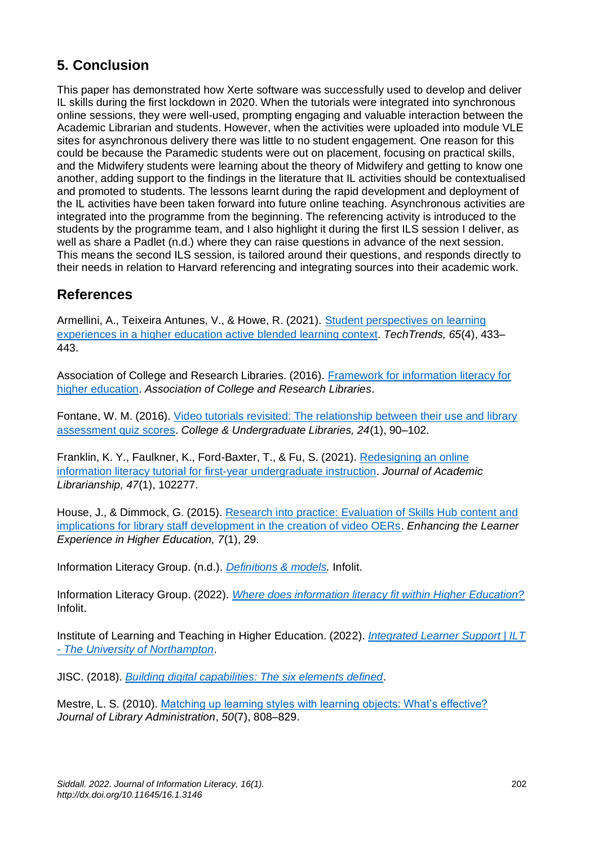## **5. Conclusion**

This paper has demonstrated how Xerte software was successfully used to develop and deliver IL skills during the first lockdown in 2020. When the tutorials were integrated into synchronous online sessions, they were well-used, prompting engaging and valuable interaction between the Academic Librarian and students. However, when the activities were uploaded into module VLE sites for asynchronous delivery there was little to no student engagement. One reason for this could be because the Paramedic students were out on placement, focusing on practical skills, and the Midwifery students were learning about the theory of Midwifery and getting to know one another, adding support to the findings in the literature that IL activities should be contextualised and promoted to students. The lessons learnt during the rapid development and deployment of the IL activities have been taken forward into future online teaching. Asynchronous activities are integrated into the programme from the beginning. The referencing activity is introduced to the students by the programme team, and I also highlight it during the first ILS session I deliver, as well as share a Padlet (n.d.) where they can raise questions in advance of the next session. This means the second ILS session, is tailored around their questions, and responds directly to their needs in relation to Harvard referencing and integrating sources into their academic work.

## **References**

Armellini, A., Teixeira Antunes, V., & Howe, R. (2021). [Student perspectives on learning](https://doi.org/10.1007/s11528-021-00593-w)  [experiences in a higher education active blended learning context.](https://doi.org/10.1007/s11528-021-00593-w) *TechTrends, 65*(4), 433– 443.

Association of College and Research Libraries. (2016). [Framework for information literacy for](https://www.ala.org/acrl/standards/ilframework)  [higher education.](https://www.ala.org/acrl/standards/ilframework) *Association of College and Research Libraries*.

Fontane, W. M. (2016). [Video tutorials revisited: The relationship between their use and library](https://doi.org/10.1080/10691316.2015.1135093)  [assessment quiz scores.](https://doi.org/10.1080/10691316.2015.1135093) *College & Undergraduate Libraries, 24*(1), 90–102.

Franklin, K. Y., Faulkner, K., Ford-Baxter, T., & Fu, S. (2021). [Redesigning an online](https://doi.org/10.1016/j.acalib.2020.102277)  [information literacy tutorial for first-year undergraduate instruction.](https://doi.org/10.1016/j.acalib.2020.102277) *Journal of Academic Librarianship, 47*(1), 102277.

House, J., & Dimmock, G. (2015). [Research into practice: Evaluation of Skills Hub content and](https://doi.org/10.14234/elehe.v7i1.89)  [implications for library staff development in the creation of video OERs.](https://doi.org/10.14234/elehe.v7i1.89) *Enhancing the Learner Experience in Higher Education, 7*(1), 29.

Information Literacy Group. (n.d.). *[Definitions & models.](https://infolit.org.uk/definitions-models/)* Infolit.

Information Literacy Group. (2022). *[Where does information literacy fit within Higher Education?](https://infolit.org.uk/sectors/higher-education/)* Infolit.

Institute of Learning and Teaching in Higher Education. (2022). *[Integrated Learner Support | ILT](https://mypad.northampton.ac.uk/lte/integrated-learner-support/)  - [The University of Northampton](https://mypad.northampton.ac.uk/lte/integrated-learner-support/)*.

JISC. (2018). *Building [digital capabilities: The six elements defined](https://repository.jisc.ac.uk/6611/1/JFL0066F_DIGIGAP_MOD_IND_FRAME.PDF)*.

Mestre, L. S. (2010). [Matching up learning styles with learning objects: What's effective?](https://doi.org/10.1080/01930826.2010.488975) *Journal of Library Administration*, *50*(7), 808–829.